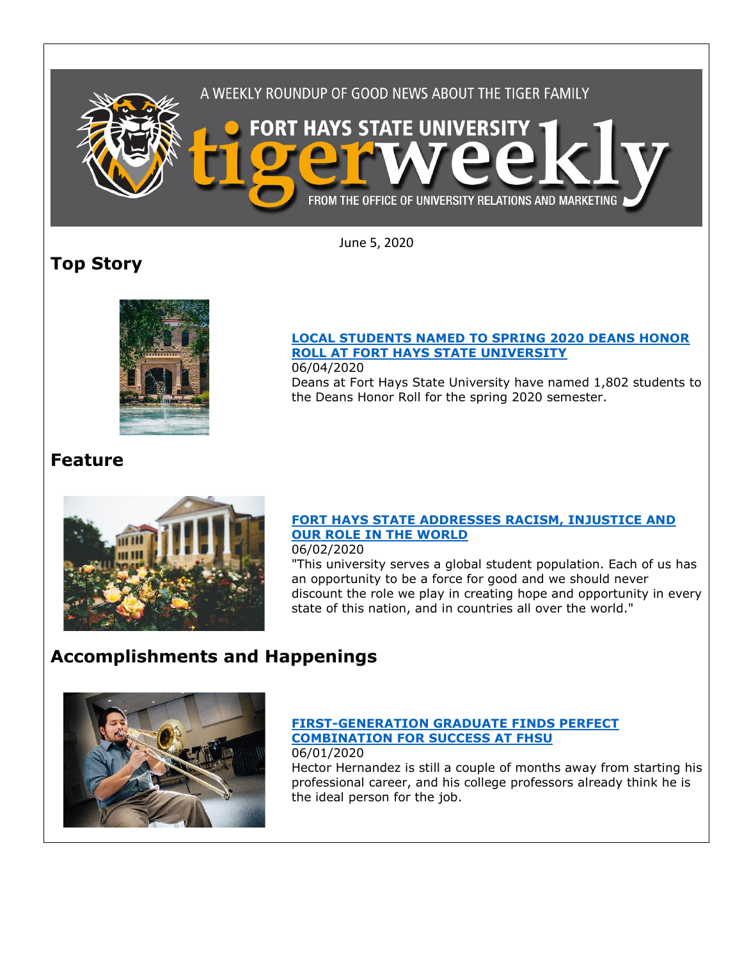

June 5, 2020

## **Top Story**



### **[LOCAL STUDENTS NAMED TO SPRING 2020 DEANS HONOR](https://www.fhsu.edu/news/2020/06/local-students-named-to-spring-2020-deans-honor-roll-at-fort-hays-state-university)  [ROLL AT FORT HAYS STATE UNIVERSITY](https://www.fhsu.edu/news/2020/06/local-students-named-to-spring-2020-deans-honor-roll-at-fort-hays-state-university)**

06/04/2020 Deans at Fort Hays State University have named 1,802 students to the Deans Honor Roll for the spring 2020 semester.

## **Feature**



### **[FORT HAYS STATE ADDRESSES RACISM, INJUSTICE AND](https://www.fhsu.edu/news/2020/06/fort-hays-state-addresses-racism,-injustice-and-our-role-in-the-world)  [OUR ROLE IN THE WORLD](https://www.fhsu.edu/news/2020/06/fort-hays-state-addresses-racism,-injustice-and-our-role-in-the-world)**

06/02/2020

"This university serves a global student population. Each of us has an opportunity to be a force for good and we should never discount the role we play in creating hope and opportunity in every state of this nation, and in countries all over the world."

# **Accomplishments and Happenings**



#### **[FIRST-GENERATION GRADUATE FINDS PERFECT](https://www.fhsu.edu/news/2020/06/first-generation-graduate-finds-perfect-combination-for-success-at-fhsu)  [COMBINATION FOR SUCCESS AT FHSU](https://www.fhsu.edu/news/2020/06/first-generation-graduate-finds-perfect-combination-for-success-at-fhsu)** 06/01/2020

Hector Hernandez is still a couple of months away from starting his professional career, and his college professors already think he is the ideal person for the job.